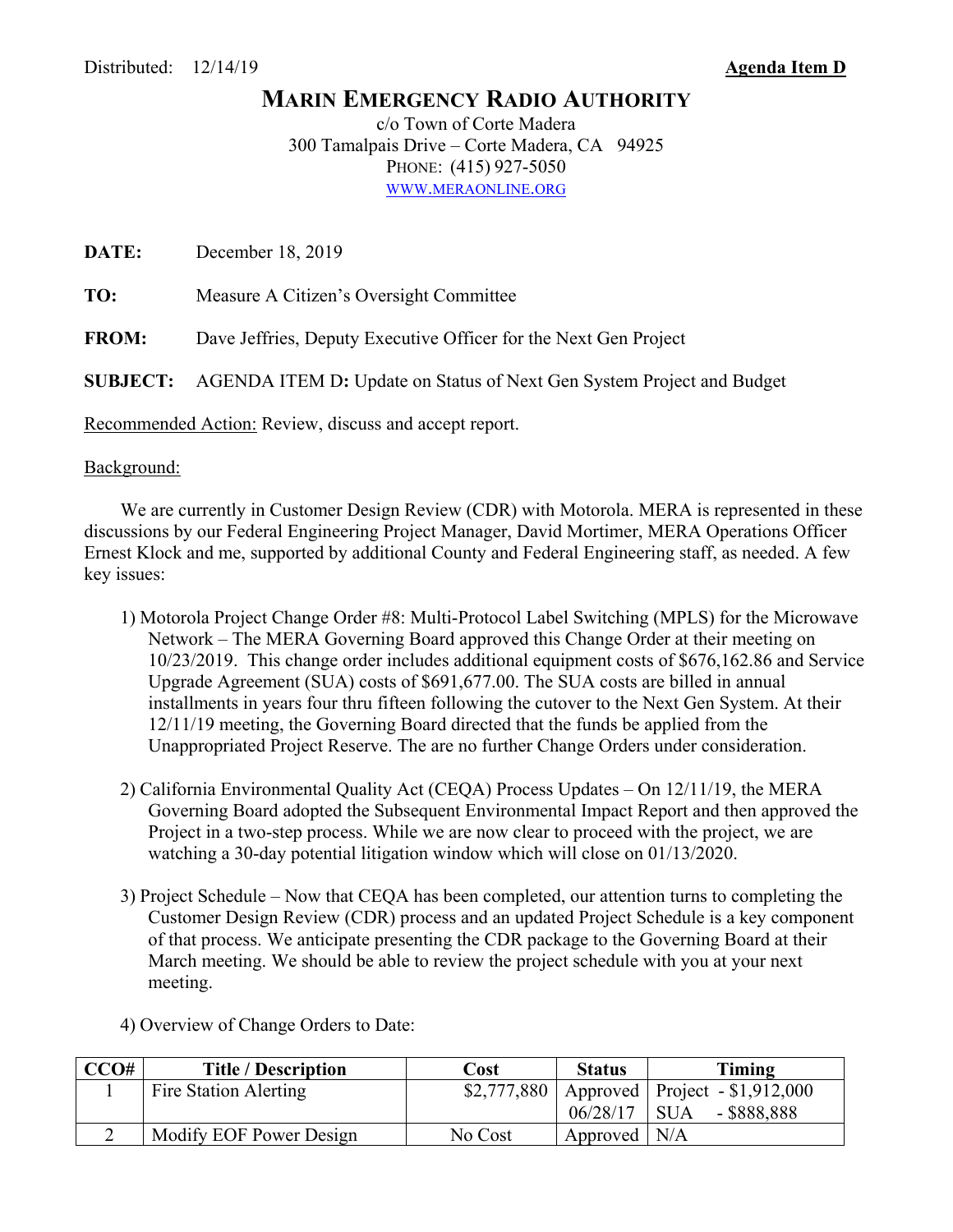## **MARIN EMERGENCY RADIO AUTHORITY**

c/o Town of Corte Madera 300 Tamalpais Drive – Corte Madera, CA 94925 PHONE: (415) 927-5050 WWW.MERAONLINE.ORG

**DATE:** December 18, 2019

**TO:** Measure A Citizen's Oversight Committee

**FROM:** Dave Jeffries, Deputy Executive Officer for the Next Gen Project

**SUBJECT:** AGENDA ITEM D**:** Update on Status of Next Gen System Project and Budget

Recommended Action: Review, discuss and accept report.

## Background:

 We are currently in Customer Design Review (CDR) with Motorola. MERA is represented in these discussions by our Federal Engineering Project Manager, David Mortimer, MERA Operations Officer Ernest Klock and me, supported by additional County and Federal Engineering staff, as needed. A few key issues:

- 1) Motorola Project Change Order #8: Multi-Protocol Label Switching (MPLS) for the Microwave Network – The MERA Governing Board approved this Change Order at their meeting on 10/23/2019. This change order includes additional equipment costs of \$676,162.86 and Service Upgrade Agreement (SUA) costs of \$691,677.00. The SUA costs are billed in annual installments in years four thru fifteen following the cutover to the Next Gen System. At their 12/11/19 meeting, the Governing Board directed that the funds be applied from the Unappropriated Project Reserve. The are no further Change Orders under consideration.
- 2) California Environmental Quality Act (CEQA) Process Updates On 12/11/19, the MERA Governing Board adopted the Subsequent Environmental Impact Report and then approved the Project in a two-step process. While we are now clear to proceed with the project, we are watching a 30-day potential litigation window which will close on 01/13/2020.
- 3) Project Schedule Now that CEQA has been completed, our attention turns to completing the Customer Design Review (CDR) process and an updated Project Schedule is a key component of that process. We anticipate presenting the CDR package to the Governing Board at their March meeting. We should be able to review the project schedule with you at your next meeting.
- 4) Overview of Change Orders to Date:

| CCO# | <b>Title / Description</b> | Cost    | <b>Status</b>  | Timing                                          |
|------|----------------------------|---------|----------------|-------------------------------------------------|
|      | Fire Station Alerting      |         |                | $$2,777,880$   Approved   Project - \$1,912,000 |
|      |                            |         | 06/28/17       | $-$ \$888,888<br>$\overline{\phantom{a}}$ SUA   |
|      | Modify EOF Power Design    | No Cost | Approved $N/A$ |                                                 |